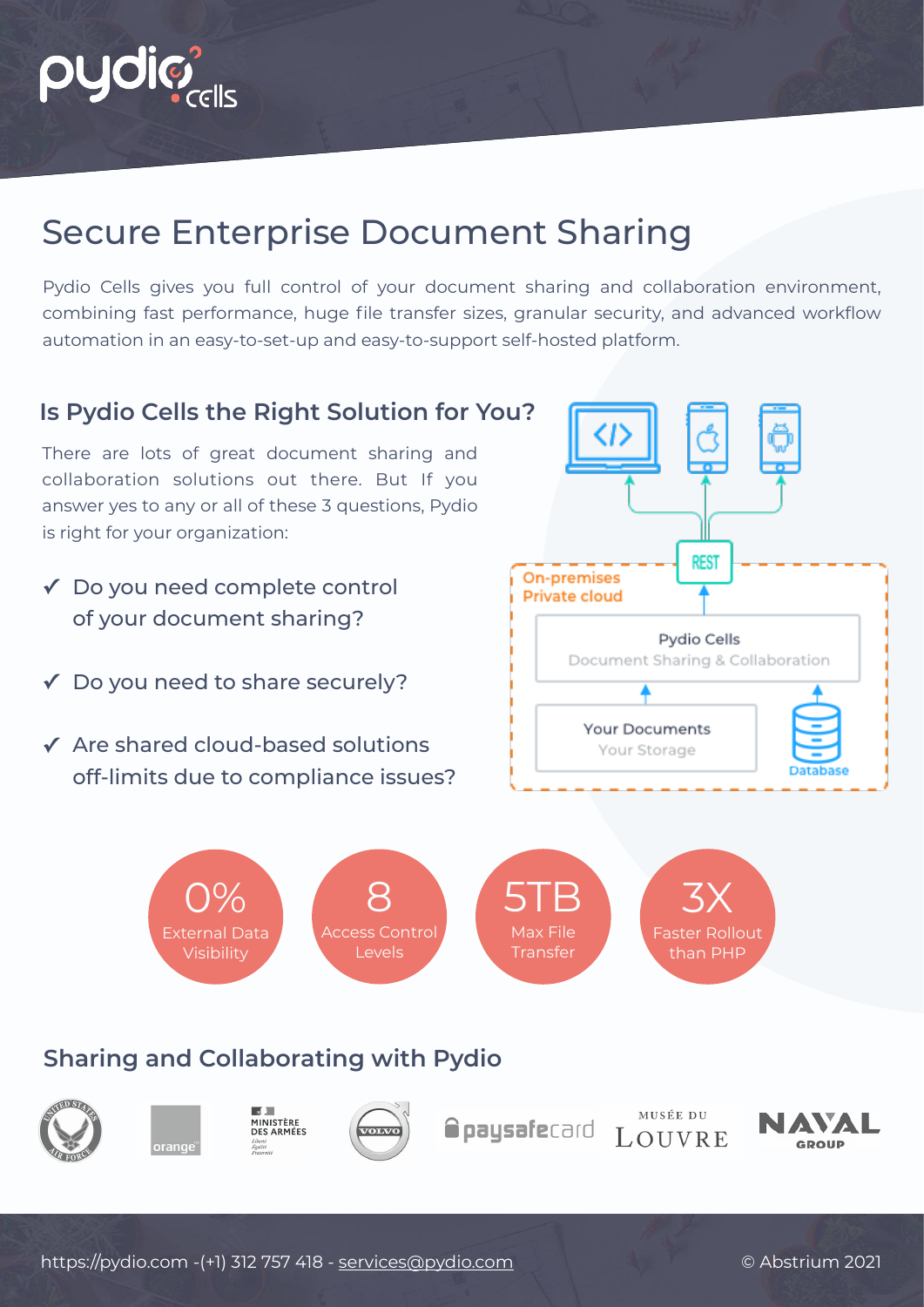

# Secure Enterprise Document Sharing

Pydio Cells gives you full control of your document sharing and collaboration environment, combining fast performance, huge file transfer sizes, granular security, and advanced workflow automation in an easy-to-set-up and easy-to-support self-hosted platform.